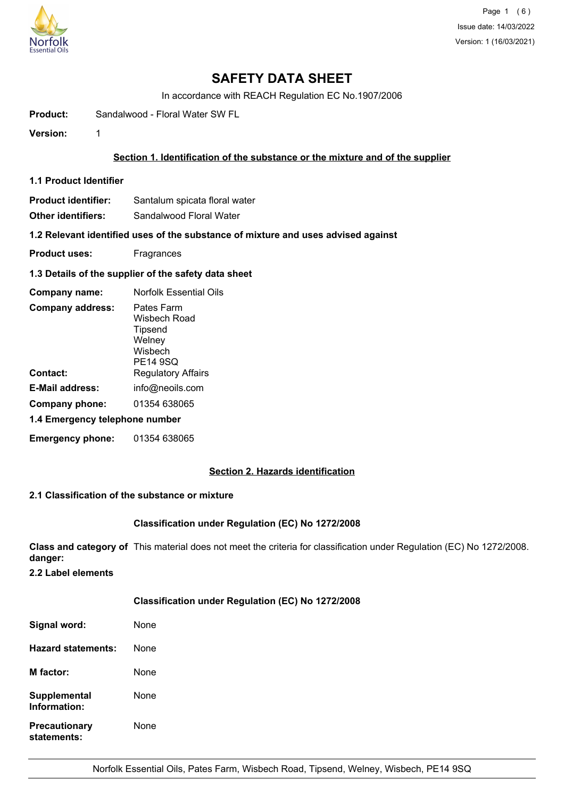

Page 1 (6) Issue date: 14/03/2022 Version: 1 (16/03/2021)

# **SAFETY DATA SHEET**

In accordance with REACH Regulation EC No.1907/2006

**Product:** Sandalwood - Floral Water SW FL

**Version:** 1

#### **Section 1. Identification of the substance or the mixture and of the supplier**

- **1.1 Product Identifier**
- **Product identifier:** Santalum spicata floral water

**Other identifiers:** Sandalwood Floral Water

**1.2 Relevant identified uses of the substance of mixture and uses advised against**

- **Product uses:** Fragrances
- **1.3 Details of the supplier of the safety data sheet**

| Company name:                  | <b>Norfolk Essential Oils</b>                                          |  |
|--------------------------------|------------------------------------------------------------------------|--|
| <b>Company address:</b>        | Pates Farm<br>Wisbech Road<br>Tipsend<br>Welney<br>Wisbech<br>PE14 9SQ |  |
| Contact:                       | <b>Regulatory Affairs</b>                                              |  |
| <b>E-Mail address:</b>         | info@neoils.com                                                        |  |
| Company phone:                 | 01354 638065                                                           |  |
| 1.4 Emergency telephone number |                                                                        |  |
| <b>Emergency phone:</b>        | 01354 638065                                                           |  |

## **Section 2. Hazards identification**

#### **2.1 Classification of the substance or mixture**

#### **Classification under Regulation (EC) No 1272/2008**

**Class and category of** This material does not meet the criteria for classification under Regulation (EC) No 1272/2008. **danger:**

**2.2 Label elements**

#### **Classification under Regulation (EC) No 1272/2008**

| Signal word:                        | None |
|-------------------------------------|------|
| Hazard statements:                  | None |
| <b>M</b> factor:                    | None |
| Supplemental<br>Information:        | None |
| <b>Precautionary</b><br>statements: | None |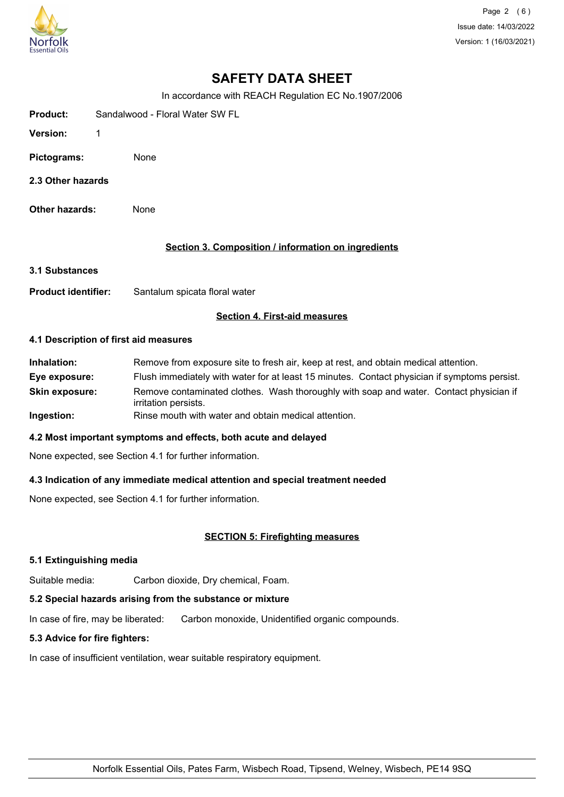

Page 2 (6) Issue date: 14/03/2022 Version: 1 (16/03/2021)

# **SAFETY DATA SHEET**

In accordance with REACH Regulation EC No.1907/2006

| <b>Product:</b> |  | Sandalwood - Floral Water SW FL |
|-----------------|--|---------------------------------|
|-----------------|--|---------------------------------|

- **Version:** 1
- **Pictograms:** None
- **2.3 Other hazards**
- **Other hazards:** None

## **Section 3. Composition / information on ingredients**

- **3.1 Substances**
- **Product identifier:** Santalum spicata floral water

## **Section 4. First-aid measures**

#### **4.1 Description of first aid measures**

**Inhalation:** Remove from exposure site to fresh air, keep at rest, and obtain medical attention. **Eye exposure:** Flush immediately with water for at least 15 minutes. Contact physician if symptoms persist. **Skin exposure:** Remove contaminated clothes. Wash thoroughly with soap and water. Contact physician if irritation persists. **Ingestion:** Rinse mouth with water and obtain medical attention.

## **4.2 Most important symptoms and effects, both acute and delayed**

None expected, see Section 4.1 for further information.

## **4.3 Indication of any immediate medical attention and special treatment needed**

None expected, see Section 4.1 for further information.

## **SECTION 5: Firefighting measures**

## **5.1 Extinguishing media**

Suitable media: Carbon dioxide, Dry chemical, Foam.

## **5.2 Special hazards arising from the substance or mixture**

In case of fire, may be liberated: Carbon monoxide, Unidentified organic compounds.

## **5.3 Advice for fire fighters:**

In case of insufficient ventilation, wear suitable respiratory equipment.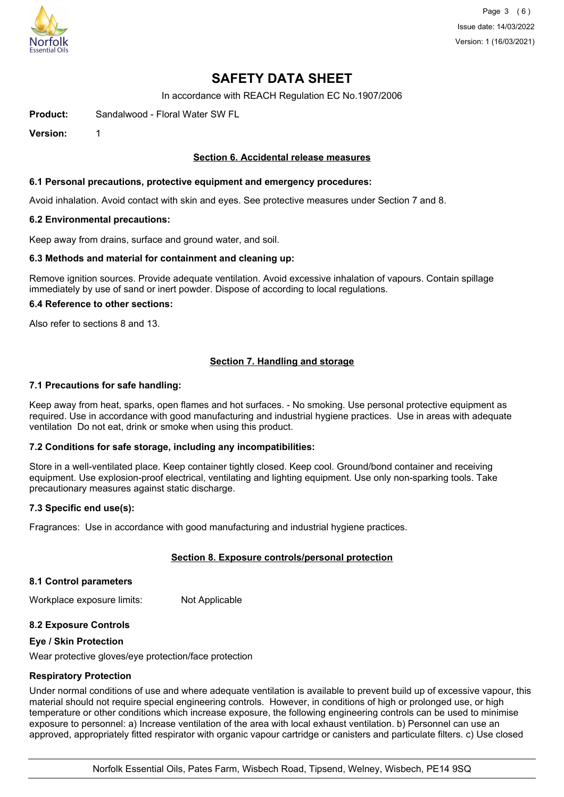

Page 3 (6) Issue date: 14/03/2022 Version: 1 (16/03/2021)

# **SAFETY DATA SHEET**

In accordance with REACH Regulation EC No.1907/2006

**Product:** Sandalwood - Floral Water SW FL

**Version:** 1

#### **Section 6. Accidental release measures**

#### **6.1 Personal precautions, protective equipment and emergency procedures:**

Avoid inhalation. Avoid contact with skin and eyes. See protective measures under Section 7 and 8.

#### **6.2 Environmental precautions:**

Keep away from drains, surface and ground water, and soil.

#### **6.3 Methods and material for containment and cleaning up:**

Remove ignition sources. Provide adequate ventilation. Avoid excessive inhalation of vapours. Contain spillage immediately by use of sand or inert powder. Dispose of according to local regulations.

#### **6.4 Reference to other sections:**

Also refer to sections 8 and 13.

## **Section 7. Handling and storage**

#### **7.1 Precautions for safe handling:**

Keep away from heat, sparks, open flames and hot surfaces. - No smoking. Use personal protective equipment as required. Use in accordance with good manufacturing and industrial hygiene practices. Use in areas with adequate ventilation Do not eat, drink or smoke when using this product.

#### **7.2 Conditions for safe storage, including any incompatibilities:**

Store in a well-ventilated place. Keep container tightly closed. Keep cool. Ground/bond container and receiving equipment. Use explosion-proof electrical, ventilating and lighting equipment. Use only non-sparking tools. Take precautionary measures against static discharge.

#### **7.3 Specific end use(s):**

Fragrances: Use in accordance with good manufacturing and industrial hygiene practices.

## **Section 8. Exposure controls/personal protection**

#### **8.1 Control parameters**

Workplace exposure limits: Not Applicable

#### **8.2 Exposure Controls**

#### **Eye / Skin Protection**

Wear protective gloves/eye protection/face protection

#### **Respiratory Protection**

Under normal conditions of use and where adequate ventilation is available to prevent build up of excessive vapour, this material should not require special engineering controls. However, in conditions of high or prolonged use, or high temperature or other conditions which increase exposure, the following engineering controls can be used to minimise exposure to personnel: a) Increase ventilation of the area with local exhaust ventilation. b) Personnel can use an approved, appropriately fitted respirator with organic vapour cartridge or canisters and particulate filters. c) Use closed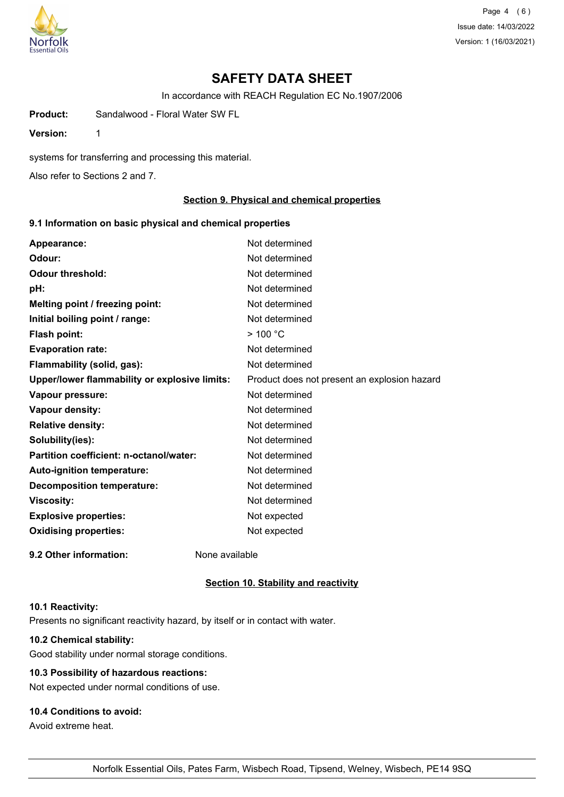

Page 4 (6) Issue date: 14/03/2022 Version: 1 (16/03/2021)

# **SAFETY DATA SHEET**

In accordance with REACH Regulation EC No.1907/2006

**Product:** Sandalwood - Floral Water SW FL

**Version:** 1

systems for transferring and processing this material.

Also refer to Sections 2 and 7.

## **Section 9. Physical and chemical properties**

## **9.1 Information on basic physical and chemical properties**

| Appearance:                                   | Not determined                               |
|-----------------------------------------------|----------------------------------------------|
| Odour:                                        | Not determined                               |
| <b>Odour threshold:</b>                       | Not determined                               |
| pH:                                           | Not determined                               |
| Melting point / freezing point:               | Not determined                               |
| Initial boiling point / range:                | Not determined                               |
| <b>Flash point:</b>                           | $>$ 100 °C                                   |
| <b>Evaporation rate:</b>                      | Not determined                               |
| Flammability (solid, gas):                    | Not determined                               |
| Upper/lower flammability or explosive limits: | Product does not present an explosion hazard |
| Vapour pressure:                              | Not determined                               |
| Vapour density:                               | Not determined                               |
| <b>Relative density:</b>                      | Not determined                               |
| Solubility(ies):                              | Not determined                               |
| Partition coefficient: n-octanol/water:       | Not determined                               |
| Auto-ignition temperature:                    | Not determined                               |
| <b>Decomposition temperature:</b>             | Not determined                               |
| <b>Viscosity:</b>                             | Not determined                               |
| <b>Explosive properties:</b>                  | Not expected                                 |
| <b>Oxidising properties:</b>                  | Not expected                                 |
| 9.2 Other information:                        | None available                               |

#### **Section 10. Stability and reactivity**

#### **10.1 Reactivity:**

Presents no significant reactivity hazard, by itself or in contact with water.

#### **10.2 Chemical stability:**

Good stability under normal storage conditions.

## **10.3 Possibility of hazardous reactions:**

Not expected under normal conditions of use.

#### **10.4 Conditions to avoid:**

Avoid extreme heat.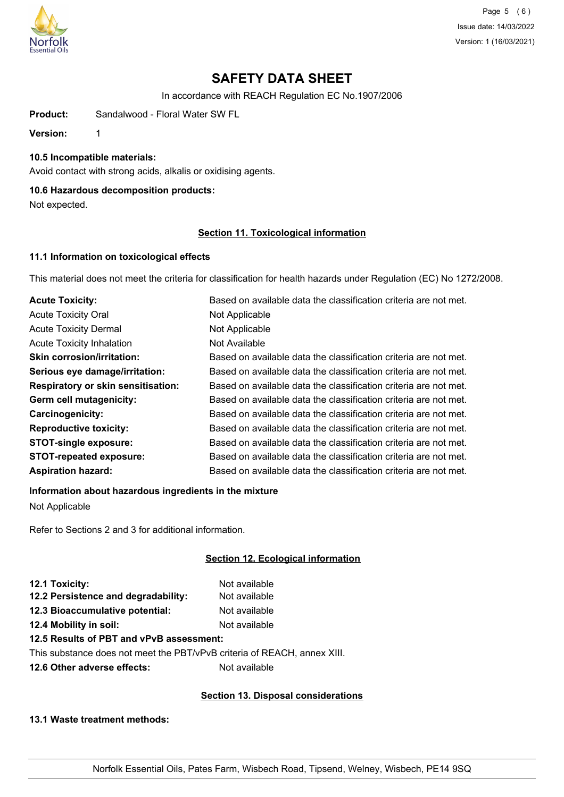

Page 5 (6) Issue date: 14/03/2022 Version: 1 (16/03/2021)

# **SAFETY DATA SHEET**

In accordance with REACH Regulation EC No.1907/2006

**Product:** Sandalwood - Floral Water SW FL

**Version:** 1

#### **10.5 Incompatible materials:**

Avoid contact with strong acids, alkalis or oxidising agents.

## **10.6 Hazardous decomposition products:**

Not expected.

## **Section 11. Toxicological information**

## **11.1 Information on toxicological effects**

This material does not meet the criteria for classification for health hazards under Regulation (EC) No 1272/2008.

| <b>Acute Toxicity:</b>                    | Based on available data the classification criteria are not met. |
|-------------------------------------------|------------------------------------------------------------------|
| <b>Acute Toxicity Oral</b>                | Not Applicable                                                   |
| <b>Acute Toxicity Dermal</b>              | Not Applicable                                                   |
| <b>Acute Toxicity Inhalation</b>          | Not Available                                                    |
| <b>Skin corrosion/irritation:</b>         | Based on available data the classification criteria are not met. |
| Serious eye damage/irritation:            | Based on available data the classification criteria are not met. |
| <b>Respiratory or skin sensitisation:</b> | Based on available data the classification criteria are not met. |
| Germ cell mutagenicity:                   | Based on available data the classification criteria are not met. |
| <b>Carcinogenicity:</b>                   | Based on available data the classification criteria are not met. |
| <b>Reproductive toxicity:</b>             | Based on available data the classification criteria are not met. |
| <b>STOT-single exposure:</b>              | Based on available data the classification criteria are not met. |
| <b>STOT-repeated exposure:</b>            | Based on available data the classification criteria are not met. |
| <b>Aspiration hazard:</b>                 | Based on available data the classification criteria are not met. |

## **Information about hazardous ingredients in the mixture**

Not Applicable

Refer to Sections 2 and 3 for additional information.

## **Section 12. Ecological information**

| 12.1 Toxicity:                      | Not available |
|-------------------------------------|---------------|
| 12.2 Persistence and degradability: | Not available |
| 12.3 Bioaccumulative potential:     | Not available |
| 12.4 Mobility in soil:              | Not available |
|                                     |               |

## **12.5 Results of PBT and vPvB assessment:**

This substance does not meet the PBT/vPvB criteria of REACH, annex XIII.

**12.6 Other adverse effects:** Not available

## **Section 13. Disposal considerations**

**13.1 Waste treatment methods:**